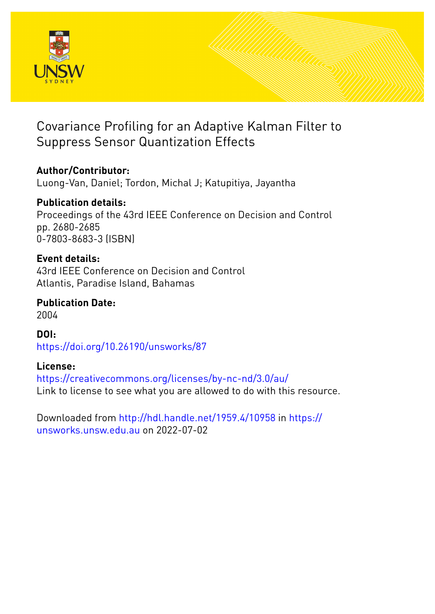

# Covariance Profiling for an Adaptive Kalman Filter to Suppress Sensor Quantization Effects

# **Author/Contributor:**

Luong-Van, Daniel; Tordon, Michal J; Katupitiya, Jayantha

# **Publication details:**

Proceedings of the 43rd IEEE Conference on Decision and Control pp. 2680-2685 0-7803-8683-3 (ISBN)

## **Event details:**

43rd IEEE Conference on Decision and Control Atlantis, Paradise Island, Bahamas

**Publication Date:** 2004

**DOI:** [https://doi.org/10.26190/unsworks/87](http://dx.doi.org/https://doi.org/10.26190/unsworks/87)

## **License:**

<https://creativecommons.org/licenses/by-nc-nd/3.0/au/> Link to license to see what you are allowed to do with this resource.

Downloaded from <http://hdl.handle.net/1959.4/10958> in [https://](https://unsworks.unsw.edu.au) [unsworks.unsw.edu.au](https://unsworks.unsw.edu.au) on 2022-07-02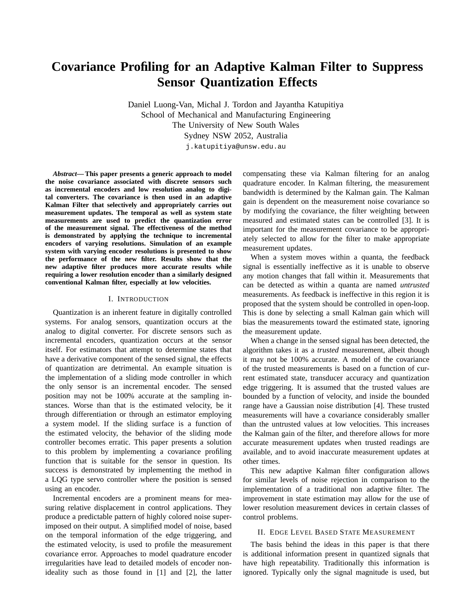# **Covariance Profiling for an Adaptive Kalman Filter to Suppress Sensor Quantization Effects**

Daniel Luong-Van, Michal J. Tordon and Jayantha Katupitiya School of Mechanical and Manufacturing Engineering The University of New South Wales Sydney NSW 2052, Australia

j.katupitiya@unsw.edu.au

*Abstract***— This paper presents a generic approach to model the noise covariance associated with discrete sensors such as incremental encoders and low resolution analog to digital converters. The covariance is then used in an adaptive Kalman Filter that selectively and appropriately carries out measurement updates. The temporal as well as system state measurements are used to predict the quantization error of the measurement signal. The effectiveness of the method is demonstrated by applying the technique to incremental encoders of varying resolutions. Simulation of an example system with varying encoder resolutions is presented to show the performance of the new filter. Results show that the new adaptive filter produces more accurate results while requiring a lower resolution encoder than a similarly designed conventional Kalman filter, especially at low velocities.**

### I. INTRODUCTION

Quantization is an inherent feature in digitally controlled systems. For analog sensors, quantization occurs at the analog to digital converter. For discrete sensors such as incremental encoders, quantization occurs at the sensor itself. For estimators that attempt to determine states that have a derivative component of the sensed signal, the effects of quantization are detrimental. An example situation is the implementation of a sliding mode controller in which the only sensor is an incremental encoder. The sensed position may not be 100% accurate at the sampling instances. Worse than that is the estimated velocity, be it through differentiation or through an estimator employing a system model. If the sliding surface is a function of the estimated velocity, the behavior of the sliding mode controller becomes erratic. This paper presents a solution to this problem by implementing a covariance profiling function that is suitable for the sensor in question. Its success is demonstrated by implementing the method in a LQG type servo controller where the position is sensed using an encoder.

Incremental encoders are a prominent means for measuring relative displacement in control applications. They produce a predictable pattern of highly colored noise superimposed on their output. A simplified model of noise, based on the temporal information of the edge triggering, and the estimated velocity, is used to profile the measurement covariance error. Approaches to model quadrature encoder irregularities have lead to detailed models of encoder nonideality such as those found in [1] and [2], the latter

compensating these via Kalman filtering for an analog quadrature encoder. In Kalman filtering, the measurement bandwidth is determined by the Kalman gain. The Kalman gain is dependent on the measurement noise covariance so by modifying the covariance, the filter weighting between measured and estimated states can be controlled [3]. It is important for the measurement covariance to be appropriately selected to allow for the filter to make appropriate measurement updates.

When a system moves within a quanta, the feedback signal is essentially ineffective as it is unable to observe any motion changes that fall within it. Measurements that can be detected as within a quanta are named *untrusted* measurements. As feedback is ineffective in this region it is proposed that the system should be controlled in open-loop. This is done by selecting a small Kalman gain which will bias the measurements toward the estimated state, ignoring the measurement update.

When a change in the sensed signal has been detected, the algorithm takes it as a *trusted* measurement, albeit though it may not be 100% accurate. A model of the covariance of the trusted measurements is based on a function of current estimated state, transducer accuracy and quantization edge triggering. It is assumed that the trusted values are bounded by a function of velocity, and inside the bounded range have a Gaussian noise distribution [4]. These trusted measurements will have a covariance considerably smaller than the untrusted values at low velocities. This increases the Kalman gain of the filter, and therefore allows for more accurate measurement updates when trusted readings are available, and to avoid inaccurate measurement updates at other times.

This new adaptive Kalman filter configuration allows for similar levels of noise rejection in comparison to the implementation of a traditional non adaptive filter. The improvement in state estimation may allow for the use of lower resolution measurement devices in certain classes of control problems.

### II. EDGE LEVEL BASED STATE MEASUREMENT

The basis behind the ideas in this paper is that there is additional information present in quantized signals that have high repeatability. Traditionally this information is ignored. Typically only the signal magnitude is used, but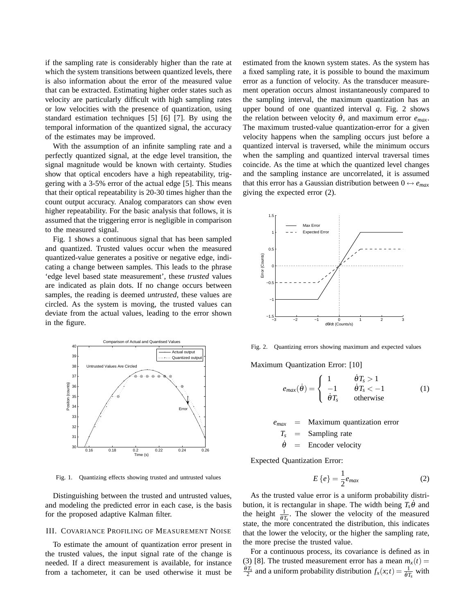if the sampling rate is considerably higher than the rate at which the system transitions between quantized levels, there is also information about the error of the measured value that can be extracted. Estimating higher order states such as velocity are particularly difficult with high sampling rates or low velocities with the presence of quantization, using standard estimation techniques [5] [6] [7]. By using the temporal information of the quantized signal, the accuracy of the estimates may be improved.

With the assumption of an infinite sampling rate and a perfectly quantized signal, at the edge level transition, the signal magnitude would be known with certainty. Studies show that optical encoders have a high repeatability, triggering with a 3-5% error of the actual edge [5]. This means that their optical repeatability is 20-30 times higher than the count output accuracy. Analog comparators can show even higher repeatability. For the basic analysis that follows, it is assumed that the triggering error is negligible in comparison to the measured signal.

Fig. 1 shows a continuous signal that has been sampled and quantized. Trusted values occur when the measured quantized-value generates a positive or negative edge, indicating a change between samples. This leads to the phrase 'edge level based state measurement', these *trusted* values are indicated as plain dots. If no change occurs between samples, the reading is deemed *untrusted*, these values are circled. As the system is moving, the trusted values can deviate from the actual values, leading to the error shown in the figure.



Fig. 1. Quantizing effects showing trusted and untrusted values

Distinguishing between the trusted and untrusted values, and modeling the predicted error in each case, is the basis for the proposed adaptive Kalman filter.

#### III. COVARIANCE PROFILING OF MEASUREMENT NOISE

To estimate the amount of quantization error present in the trusted values, the input signal rate of the change is needed. If a direct measurement is available, for instance from a tachometer, it can be used otherwise it must be estimated from the known system states. As the system has a fixed sampling rate, it is possible to bound the maximum error as a function of velocity. As the transducer measurement operation occurs almost instantaneously compared to the sampling interval, the maximum quantization has an upper bound of one quantized interval *q*. Fig. 2 shows the relation between velocity  $\hat{\theta}$ , and maximum error  $e_{max}$ . The maximum trusted-value quantization-error for a given velocity happens when the sampling occurs just before a quantized interval is traversed, while the minimum occurs when the sampling and quantized interval traversal times coincide. As the time at which the quantized level changes and the sampling instance are uncorrelated, it is assumed that this error has a Gaussian distribution between  $0 \leftrightarrow e_{max}$ giving the expected error (2).



Fig. 2. Quantizing errors showing maximum and expected values

Maximum Quantization Error: [10]

$$
e_{max}(\dot{\theta}) = \begin{cases} 1 & \dot{\theta}T_s > 1 \\ -1 & \dot{\theta}T_s < -1 \\ \dot{\theta}T_s & \text{otherwise} \end{cases}
$$
 (1)

**Maximum quantization error**  $T_s$  = Sampling rate  $\dot{\theta}$  = Encoder velocity

Expected Quantization Error:

$$
E\left\{e\right\} = \frac{1}{2}e_{max} \tag{2}
$$

As the trusted value error is a uniform probability distribution, it is rectangular in shape. The width being  $T<sub>s</sub> \dot{\theta}$  and the height  $\frac{1}{\theta T_s}$ . The slower the velocity of the measured state, the more concentrated the distribution, this indicates that the lower the velocity, or the higher the sampling rate, the more precise the trusted value.

For a continuous process, its covariance is defined as in (3) [8]. The trusted measurement error has a mean  $m_x(t) =$  $\frac{\partial T_x}{\partial t}$  and a uniform probability distribution  $f_x(x;t) = \frac{1}{\partial T_x}$  with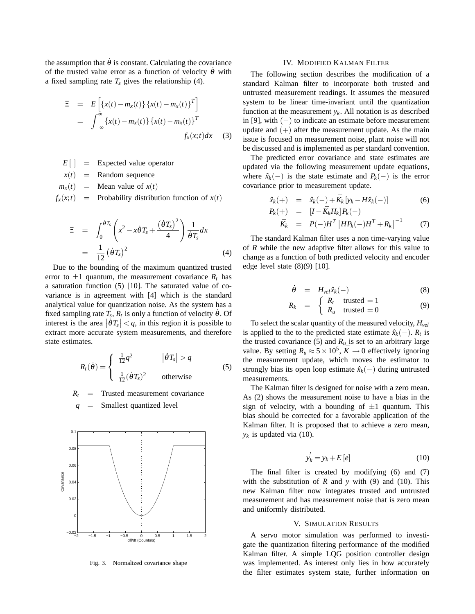the assumption that  $\dot{\theta}$  is constant. Calculating the covariance of the trusted value error as a function of velocity  $\dot{\theta}$  with a fixed sampling rate  $T_s$  gives the relationship (4).

$$
\Xi = E\left[\left\{x(t) - m_x(t)\right\}\left\{x(t) - m_x(t)\right\}^T\right]
$$

$$
= \int_{-\infty}^{\infty} \left\{x(t) - m_x(t)\right\}\left\{x(t) - m_x(t)\right\}^T
$$

$$
f_x(x; t)dx \quad (3)
$$

- $E[\ ] =$  Expected value operator  $x(t)$  = Random sequence  $m_x(t)$  = Mean value of  $x(t)$
- $f_x(x;t)$  = Probability distribution function of  $x(t)$

$$
\Xi = \int_0^{\dot{\theta}T_s} \left( x^2 - x \dot{\theta} T_s + \frac{(\dot{\theta}T_s)^2}{4} \right) \frac{1}{\dot{\theta}T_s} dx
$$

$$
= \frac{1}{12} (\dot{\theta}T_s)^2
$$
(4)

Due to the bounding of the maximum quantized trusted error to  $\pm 1$  quantum, the measurement covariance  $R_t$  has a saturation function (5) [10]. The saturated value of covariance is in agreement with [4] which is the standard analytical value for quantization noise. As the system has a fixed sampling rate  $T_s$ ,  $R_t$  is only a function of velocity  $\dot{\theta}$ . Of interest is the area  $|\hat{\theta}T_s| < q$ , in this region it is possible to extract more accurate system measurements, and therefore state estimates.

$$
R_t(\dot{\theta}) = \begin{cases} \frac{1}{12}q^2 & |\dot{\theta}T_s| > q \\ \frac{1}{12}(\dot{\theta}T_s)^2 & \text{otherwise} \end{cases}
$$
(5)

 $R_t$  = Trusted measurement covariance

*q* = Smallest quantized level



Fig. 3. Normalized covariance shape

### IV. MODIFIED KALMAN FILTER

The following section describes the modification of a standard Kalman filter to incorporate both trusted and untrusted measurement readings. It assumes the measured system to be linear time-invariant until the quantization function at the measurement  $y_k$ . All notation is as described in [9], with  $(-)$  to indicate an estimate before measurement update and  $(+)$  after the measurement update. As the main issue is focused on measurement noise, plant noise will not be discussed and is implemented as per standard convention.

The predicted error covariance and state estimates are updated via the following measurement update equations, where  $\hat{x}_k(-)$  is the state estimate and  $P_k(-)$  is the error covariance prior to measurement update.

$$
\hat{x}_k(+) = \hat{x}_k(-) + \bar{K}_k \left[ y_k - H \hat{x}_k(-) \right] \tag{6}
$$

$$
P_k(+) = [I - \bar{K}_k H_k] P_k(-)
$$

$$
\bar{K}_k = P(-)H^T \left[ H P_k(-) H^T + R_k \right]^{-1} \tag{7}
$$

The standard Kalman filter uses a non time-varying value of *R* while the new adaptive filter allows for this value to change as a function of both predicted velocity and encoder edge level state  $(8)(9)$  [10].

$$
\dot{\theta} = H_{vel} \hat{x}_k(-)
$$
 (8)

$$
R_k = \begin{cases} R_t & \text{trusted} = 1 \\ R_u & \text{trusted} = 0 \end{cases}
$$
 (9)

To select the scalar quantity of the measured velocity, *Hvel* is applied to the to the predicted state estimate  $\hat{x}_k(-)$ .  $R_t$  is the trusted covariance (5) and  $R_u$  is set to an arbitrary large value. By setting  $R_u \approx 5 \times 10^5$ ,  $\bar{K} \rightarrow 0$  effectively ignoring the measurement update, which moves the estimator to strongly bias its open loop estimate  $\hat{x}_k(-)$  during untrusted measurements.

The Kalman filter is designed for noise with a zero mean. As (2) shows the measurement noise to have a bias in the sign of velocity, with a bounding of  $\pm 1$  quantum. This bias should be corrected for a favorable application of the Kalman filter. It is proposed that to achieve a zero mean,  $y_k$  is updated via (10).

$$
y_k' = y_k + E\left[e\right] \tag{10}
$$

The final filter is created by modifying (6) and (7) with the substitution of  $R$  and  $y$  with (9) and (10). This new Kalman filter now integrates trusted and untrusted measurement and has measurement noise that is zero mean and uniformly distributed.

### V. SIMULATION RESULTS

A servo motor simulation was performed to investigate the quantization filtering performance of the modified Kalman filter. A simple LQG position controller design was implemented. As interest only lies in how accurately the filter estimates system state, further information on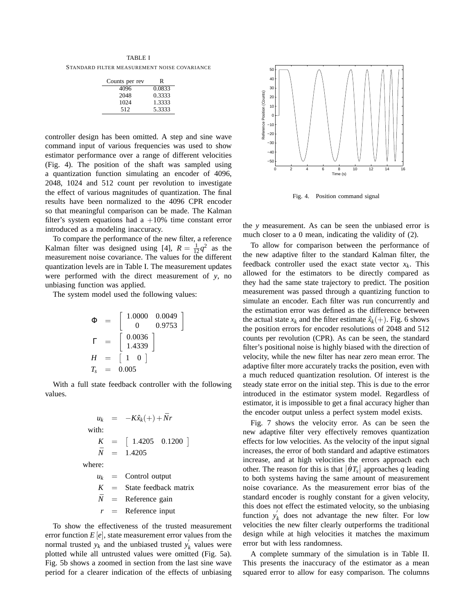TABLE I STANDARD FILTER MEASUREMENT NOISE COVARIANCE

| Counts per rev | R      |
|----------------|--------|
| 4096           | 0.0833 |
| 2048           | 0.3333 |
| 1024           | 1.3333 |
| 512            | 5.3333 |

controller design has been omitted. A step and sine wave command input of various frequencies was used to show estimator performance over a range of different velocities (Fig. 4). The position of the shaft was sampled using a quantization function simulating an encoder of 4096, 2048, 1024 and 512 count per revolution to investigate the effect of various magnitudes of quantization. The final results have been normalized to the 4096 CPR encoder so that meaningful comparison can be made. The Kalman filter's system equations had a  $+10\%$  time constant error introduced as a modeling inaccuracy.

To compare the performance of the new filter, a reference Kalman filter was designed using [4],  $R = \frac{1}{12}q^2$  as the measurement noise covariance. The values for the different quantization levels are in Table I. The measurement updates were performed with the direct measurement of *y*, no unbiasing function was applied.

The system model used the following values:

$$
\Phi = \begin{bmatrix} 1.0000 & 0.0049 \\ 0 & 0.9753 \end{bmatrix}
$$
  
\n
$$
\Gamma = \begin{bmatrix} 0.0036 \\ 1.4339 \end{bmatrix}
$$
  
\n
$$
H = \begin{bmatrix} 1 & 0 \end{bmatrix}
$$
  
\n
$$
T_s = 0.005
$$

With a full state feedback controller with the following values.

$$
u_k = -K\hat{x}_k(+) + \bar{N}r
$$
  
with:  

$$
K = [1.4205 \quad 0.1200]
$$
  

$$
\bar{N} = 1.4205
$$

where:

 $u_k$  = Control output  $K =$  State feedback matrix  $\bar{N}$  = Reference gain  $r =$  Reference input

To show the effectiveness of the trusted measurement error function  $E[e]$ , state measurement error values from the normal trusted  $y_k$  and the unbiased trusted  $y'_k$  $\kappa$ <sup>*k*</sup> values were plotted while all untrusted values were omitted (Fig. 5a). Fig. 5b shows a zoomed in section from the last sine wave period for a clearer indication of the effects of unbiasing



Fig. 4. Position command signal

the *y* measurement. As can be seen the unbiased error is much closer to a 0 mean, indicating the validity of (2).

To allow for comparison between the performance of the new adaptive filter to the standard Kalman filter, the feedback controller used the exact state vector *x<sup>k</sup>* . This allowed for the estimators to be directly compared as they had the same state trajectory to predict. The position measurement was passed through a quantizing function to simulate an encoder. Each filter was run concurrently and the estimation error was defined as the difference between the actual state  $x_k$  and the filter estimate  $\hat{x}_k(+)$ . Fig. 6 shows the position errors for encoder resolutions of 2048 and 512 counts per revolution (CPR). As can be seen, the standard filter's positional noise is highly biased with the direction of velocity, while the new filter has near zero mean error. The adaptive filter more accurately tracks the position, even with a much reduced quantization resolution. Of interest is the steady state error on the initial step. This is due to the error introduced in the estimator system model. Regardless of estimator, it is impossible to get a final accuracy higher than the encoder output unless a perfect system model exists.

Fig. 7 shows the velocity error. As can be seen the new adaptive filter very effectively removes quantization effects for low velocities. As the velocity of the input signal increases, the error of both standard and adaptive estimators increase, and at high velocities the errors approach each other. The reason for this is that  $|\hat{\theta}T_s|$  approaches *q* leading to both systems having the same amount of measurement noise covariance. As the measurement error bias of the standard encoder is roughly constant for a given velocity, this does not effect the estimated velocity, so the unbiasing function  $y_i'$  $\mathbf{k}$  does not advantage the new filter. For low velocities the new filter clearly outperforms the traditional design while at high velocities it matches the maximum error but with less randomness.

A complete summary of the simulation is in Table II. This presents the inaccuracy of the estimator as a mean squared error to allow for easy comparison. The columns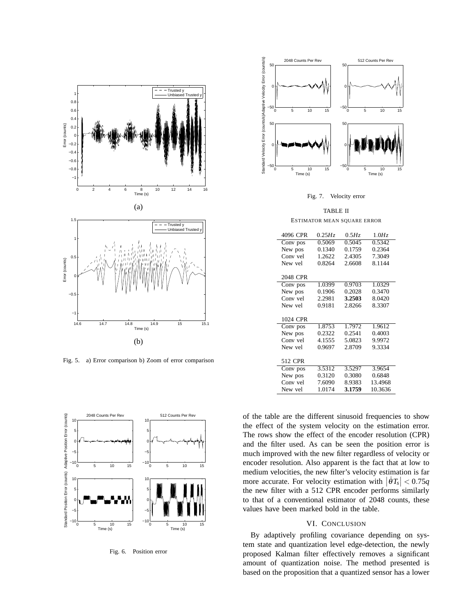

Fig. 5. a) Error comparison b) Zoom of error comparison



Fig. 6. Position error



Fig. 7. Velocity error

TABLE II ESTIMATOR MEAN SQUARE ERROR

| 4096 CPR | 0.25 Hz | 0.5Hz  | 1.0Hz   |
|----------|---------|--------|---------|
| Conv pos | 0.5069  | 0.5045 | 0.5342  |
| New pos  | 0.1340  | 0.1759 | 0.2364  |
| Conv vel | 1.2622  | 2.4305 | 7.3049  |
| New yel  | 0.8264  | 2.6608 | 8.1144  |
|          |         |        |         |
| 2048 CPR |         |        |         |
| Conv pos | 1.0399  | 0.9703 | 1.0329  |
| New pos  | 0.1906  | 0.2028 | 0.3470  |
| Conv vel | 2.2981  | 3.2503 | 8.0420  |
| New yel  | 0.9181  | 2.8266 | 8.3307  |
|          |         |        |         |
| 1024 CPR |         |        |         |
| Conv pos | 1.8753  | 1.7972 | 1.9612  |
| New pos  | 0.2322  | 0.2541 | 0.4003  |
| Conv vel | 4.1555  | 5.0823 | 9.9972  |
| New yel  | 0.9697  | 2.8709 | 9.3334  |
|          |         |        |         |
| 512 CPR  |         |        |         |
| Conv pos | 3.5312  | 3.5297 | 3.9654  |
| New pos  | 0.3120  | 0.3080 | 0.6848  |
| Conv vel | 7.6090  | 8.9383 | 13.4968 |
| New yel  | 1.0174  | 3.1759 | 10.3636 |

of the table are the different sinusoid frequencies to show the effect of the system velocity on the estimation error. The rows show the effect of the encoder resolution (CPR) and the filter used. As can be seen the position error is much improved with the new filter regardless of velocity or encoder resolution. Also apparent is the fact that at low to medium velocities, the new filter's velocity estimation is far more accurate. For velocity estimation with  $|\dot{\theta}T_s| < 0.75q$ the new filter with a 512 CPR encoder performs similarly to that of a conventional estimator of 2048 counts, these values have been marked bold in the table.

#### VI. CONCLUSION

By adaptively profiling covariance depending on system state and quantization level edge-detection, the newly proposed Kalman filter effectively removes a significant amount of quantization noise. The method presented is based on the proposition that a quantized sensor has a lower